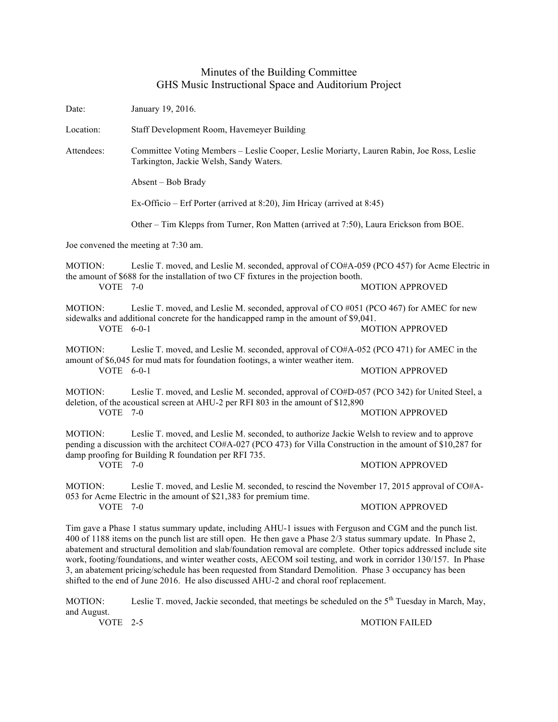## Minutes of the Building Committee GHS Music Instructional Space and Auditorium Project

| Date:                                                                                                                                                                                                                                                                                                                                                                                                                                                                                                                                                                             | January 19, 2016.                                                                                                                                                                                                                     |                        |
|-----------------------------------------------------------------------------------------------------------------------------------------------------------------------------------------------------------------------------------------------------------------------------------------------------------------------------------------------------------------------------------------------------------------------------------------------------------------------------------------------------------------------------------------------------------------------------------|---------------------------------------------------------------------------------------------------------------------------------------------------------------------------------------------------------------------------------------|------------------------|
| Location:                                                                                                                                                                                                                                                                                                                                                                                                                                                                                                                                                                         | Staff Development Room, Havemeyer Building                                                                                                                                                                                            |                        |
| Attendees:                                                                                                                                                                                                                                                                                                                                                                                                                                                                                                                                                                        | Committee Voting Members - Leslie Cooper, Leslie Moriarty, Lauren Rabin, Joe Ross, Leslie<br>Tarkington, Jackie Welsh, Sandy Waters.<br>Absent – Bob Brady<br>Ex-Officio – Erf Porter (arrived at 8:20), Jim Hricay (arrived at 8:45) |                        |
|                                                                                                                                                                                                                                                                                                                                                                                                                                                                                                                                                                                   |                                                                                                                                                                                                                                       |                        |
|                                                                                                                                                                                                                                                                                                                                                                                                                                                                                                                                                                                   |                                                                                                                                                                                                                                       |                        |
|                                                                                                                                                                                                                                                                                                                                                                                                                                                                                                                                                                                   | Other – Tim Klepps from Turner, Ron Matten (arrived at 7:50), Laura Erickson from BOE.                                                                                                                                                |                        |
| Joe convened the meeting at 7:30 am.                                                                                                                                                                                                                                                                                                                                                                                                                                                                                                                                              |                                                                                                                                                                                                                                       |                        |
| MOTION:<br>VOTE 7-0                                                                                                                                                                                                                                                                                                                                                                                                                                                                                                                                                               | Leslie T. moved, and Leslie M. seconded, approval of CO#A-059 (PCO 457) for Acme Electric in<br>the amount of \$688 for the installation of two CF fixtures in the projection booth.                                                  | <b>MOTION APPROVED</b> |
| MOTION:<br>VOTE 6-0-1                                                                                                                                                                                                                                                                                                                                                                                                                                                                                                                                                             | Leslie T. moved, and Leslie M. seconded, approval of CO #051 (PCO 467) for AMEC for new<br>sidewalks and additional concrete for the handicapped ramp in the amount of \$9,041.                                                       | <b>MOTION APPROVED</b> |
| <b>MOTION:</b><br>VOTE $6-0-1$                                                                                                                                                                                                                                                                                                                                                                                                                                                                                                                                                    | Leslie T. moved, and Leslie M. seconded, approval of CO#A-052 (PCO 471) for AMEC in the<br>amount of \$6,045 for mud mats for foundation footings, a winter weather item.                                                             | <b>MOTION APPROVED</b> |
| MOTION:<br>VOTE 7-0                                                                                                                                                                                                                                                                                                                                                                                                                                                                                                                                                               | Leslie T. moved, and Leslie M. seconded, approval of CO#D-057 (PCO 342) for United Steel, a<br>deletion, of the acoustical screen at AHU-2 per RFI 803 in the amount of \$12,890                                                      | <b>MOTION APPROVED</b> |
| Leslie T. moved, and Leslie M. seconded, to authorize Jackie Welsh to review and to approve<br>MOTION:<br>pending a discussion with the architect CO#A-027 (PCO 473) for Villa Construction in the amount of \$10,287 for<br>damp proofing for Building R foundation per RFI 735.<br>VOTE 7-0                                                                                                                                                                                                                                                                                     |                                                                                                                                                                                                                                       | <b>MOTION APPROVED</b> |
| MOTION:<br>VOTE 7-0                                                                                                                                                                                                                                                                                                                                                                                                                                                                                                                                                               | Leslie T. moved, and Leslie M. seconded, to rescind the November 17, 2015 approval of CO#A-<br>053 for Acme Electric in the amount of \$21,383 for premium time.                                                                      | <b>MOTION APPROVED</b> |
| Tim gave a Phase 1 status summary update, including AHU-1 issues with Ferguson and CGM and the punch list.<br>400 of 1188 items on the punch list are still open. He then gave a Phase 2/3 status summary update. In Phase 2,<br>abatement and structural demolition and slab/foundation removal are complete. Other topics addressed include site<br>work, footing/foundations, and winter weather costs, AECOM soil testing, and work in corridor 130/157. In Phase<br>3, an abatement pricing/schedule has been requested from Standard Demolition. Phase 3 occupancy has been |                                                                                                                                                                                                                                       |                        |

MOTION: Leslie T. moved, Jackie seconded, that meetings be scheduled on the 5<sup>th</sup> Tuesday in March, May, and August.<br>VOTE 2-5

shifted to the end of June 2016. He also discussed AHU-2 and choral roof replacement.

**MOTION FAILED**